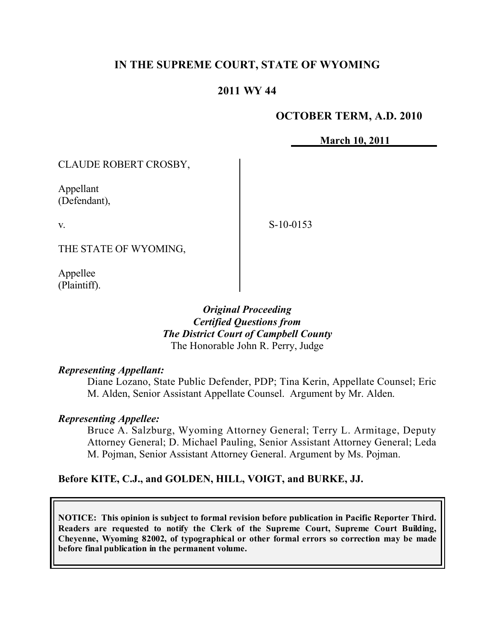## **IN THE SUPREME COURT, STATE OF WYOMING**

## **2011 WY 44**

#### **OCTOBER TERM, A.D. 2010**

**March 10, 2011**

CLAUDE ROBERT CROSBY,

Appellant (Defendant),

v.

S-10-0153

THE STATE OF WYOMING,

Appellee (Plaintiff).

> *Original Proceeding Certified Questions from The District Court of Campbell County* The Honorable John R. Perry, Judge

#### *Representing Appellant:*

Diane Lozano, State Public Defender, PDP; Tina Kerin, Appellate Counsel; Eric M. Alden, Senior Assistant Appellate Counsel. Argument by Mr. Alden.

#### *Representing Appellee:*

Bruce A. Salzburg, Wyoming Attorney General; Terry L. Armitage, Deputy Attorney General; D. Michael Pauling, Senior Assistant Attorney General; Leda M. Pojman, Senior Assistant Attorney General. Argument by Ms. Pojman.

## **Before KITE, C.J., and GOLDEN, HILL, VOIGT, and BURKE, JJ.**

**NOTICE: This opinion is subject to formal revision before publication in Pacific Reporter Third. Readers are requested to notify the Clerk of the Supreme Court, Supreme Court Building, Cheyenne, Wyoming 82002, of typographical or other formal errors so correction may be made before final publication in the permanent volume.**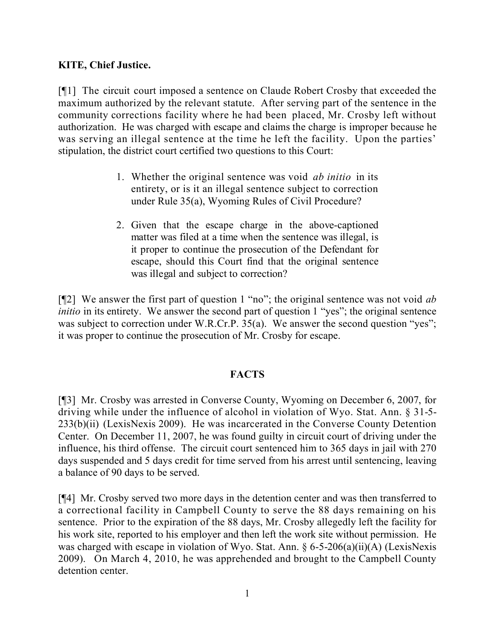## **KITE, Chief Justice.**

[¶1] The circuit court imposed a sentence on Claude Robert Crosby that exceeded the maximum authorized by the relevant statute. After serving part of the sentence in the community corrections facility where he had been placed, Mr. Crosby left without authorization. He was charged with escape and claims the charge is improper because he was serving an illegal sentence at the time he left the facility. Upon the parties' stipulation, the district court certified two questions to this Court:

- 1. Whether the original sentence was void *ab initio* in its entirety, or is it an illegal sentence subject to correction under Rule 35(a), Wyoming Rules of Civil Procedure?
- 2. Given that the escape charge in the above-captioned matter was filed at a time when the sentence was illegal, is it proper to continue the prosecution of the Defendant for escape, should this Court find that the original sentence was illegal and subject to correction?

[¶2] We answer the first part of question 1 "no"; the original sentence was not void *ab initio* in its entirety. We answer the second part of question 1 "yes"; the original sentence was subject to correction under W.R.Cr.P. 35(a). We answer the second question "yes"; it was proper to continue the prosecution of Mr. Crosby for escape.

## **FACTS**

[¶3] Mr. Crosby was arrested in Converse County, Wyoming on December 6, 2007, for driving while under the influence of alcohol in violation of Wyo. Stat. Ann. § 31-5- 233(b)(ii) (LexisNexis 2009). He was incarcerated in the Converse County Detention Center. On December 11, 2007, he was found guilty in circuit court of driving under the influence, his third offense. The circuit court sentenced him to 365 days in jail with 270 days suspended and 5 days credit for time served from his arrest until sentencing, leaving a balance of 90 days to be served.

[¶4] Mr. Crosby served two more days in the detention center and was then transferred to a correctional facility in Campbell County to serve the 88 days remaining on his sentence. Prior to the expiration of the 88 days, Mr. Crosby allegedly left the facility for his work site, reported to his employer and then left the work site without permission. He was charged with escape in violation of Wyo. Stat. Ann.  $\S 6$ -5-206(a)(ii)(A) (LexisNexis 2009). On March 4, 2010, he was apprehended and brought to the Campbell County detention center.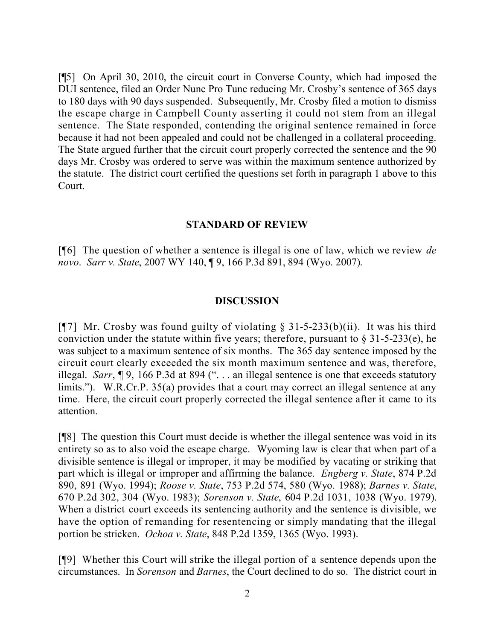[¶5] On April 30, 2010, the circuit court in Converse County, which had imposed the DUI sentence, filed an Order Nunc Pro Tunc reducing Mr. Crosby's sentence of 365 days to 180 days with 90 days suspended. Subsequently, Mr. Crosby filed a motion to dismiss the escape charge in Campbell County asserting it could not stem from an illegal sentence. The State responded, contending the original sentence remained in force because it had not been appealed and could not be challenged in a collateral proceeding. The State argued further that the circuit court properly corrected the sentence and the 90 days Mr. Crosby was ordered to serve was within the maximum sentence authorized by the statute. The district court certified the questions set forth in paragraph 1 above to this Court.

#### **STANDARD OF REVIEW**

[¶6] The question of whether a sentence is illegal is one of law, which we review *de novo*. *Sarr v. State*, 2007 WY 140, ¶ 9, 166 P.3d 891, 894 (Wyo. 2007).

#### **DISCUSSION**

[ $[$ ] Mr. Crosby was found guilty of violating § 31-5-233(b)(ii). It was his third conviction under the statute within five years; therefore, pursuant to  $\S 31-5-233(e)$ , he was subject to a maximum sentence of six months. The 365 day sentence imposed by the circuit court clearly exceeded the six month maximum sentence and was, therefore, illegal. *Sarr*, ¶ 9, 166 P.3d at 894 (". . . an illegal sentence is one that exceeds statutory limits."). W.R.Cr.P. 35(a) provides that a court may correct an illegal sentence at any time. Here, the circuit court properly corrected the illegal sentence after it came to its attention.

[¶8] The question this Court must decide is whether the illegal sentence was void in its entirety so as to also void the escape charge. Wyoming law is clear that when part of a divisible sentence is illegal or improper, it may be modified by vacating or striking that part which is illegal or improper and affirming the balance. *Engberg v. State*, 874 P.2d 890, 891 (Wyo. 1994); *Roose v. State*, 753 P.2d 574, 580 (Wyo. 1988); *Barnes v. State*, 670 P.2d 302, 304 (Wyo. 1983); *Sorenson v. State*, 604 P.2d 1031, 1038 (Wyo. 1979). When a district court exceeds its sentencing authority and the sentence is divisible, we have the option of remanding for resentencing or simply mandating that the illegal portion be stricken. *Ochoa v. State*, 848 P.2d 1359, 1365 (Wyo. 1993).

[¶9] Whether this Court will strike the illegal portion of a sentence depends upon the circumstances. In *Sorenson* and *Barnes*, the Court declined to do so. The district court in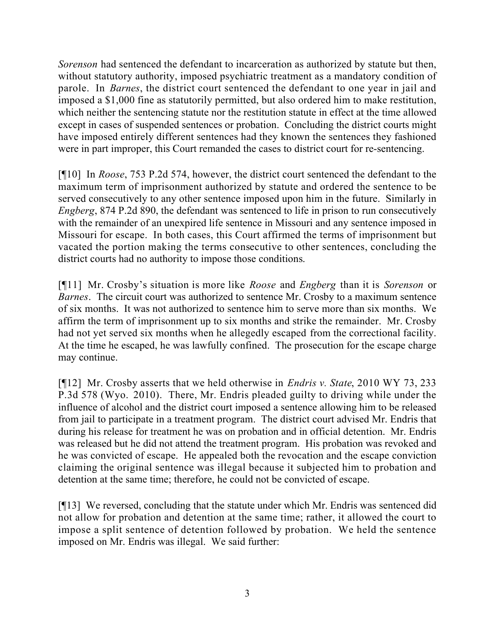*Sorenson* had sentenced the defendant to incarceration as authorized by statute but then, without statutory authority, imposed psychiatric treatment as a mandatory condition of parole. In *Barnes*, the district court sentenced the defendant to one year in jail and imposed a \$1,000 fine as statutorily permitted, but also ordered him to make restitution, which neither the sentencing statute nor the restitution statute in effect at the time allowed except in cases of suspended sentences or probation. Concluding the district courts might have imposed entirely different sentences had they known the sentences they fashioned were in part improper, this Court remanded the cases to district court for re-sentencing.

[¶10] In *Roose*, 753 P.2d 574, however, the district court sentenced the defendant to the maximum term of imprisonment authorized by statute and ordered the sentence to be served consecutively to any other sentence imposed upon him in the future. Similarly in *Engberg*, 874 P.2d 890, the defendant was sentenced to life in prison to run consecutively with the remainder of an unexpired life sentence in Missouri and any sentence imposed in Missouri for escape. In both cases, this Court affirmed the terms of imprisonment but vacated the portion making the terms consecutive to other sentences, concluding the district courts had no authority to impose those conditions.

[¶11] Mr. Crosby's situation is more like *Roose* and *Engberg* than it is *Sorenson* or *Barnes*. The circuit court was authorized to sentence Mr. Crosby to a maximum sentence of six months. It was not authorized to sentence him to serve more than six months. We affirm the term of imprisonment up to six months and strike the remainder. Mr. Crosby had not yet served six months when he allegedly escaped from the correctional facility. At the time he escaped, he was lawfully confined. The prosecution for the escape charge may continue.

[¶12] Mr. Crosby asserts that we held otherwise in *Endris v. State*, 2010 WY 73, 233 P.3d 578 (Wyo. 2010). There, Mr. Endris pleaded guilty to driving while under the influence of alcohol and the district court imposed a sentence allowing him to be released from jail to participate in a treatment program. The district court advised Mr. Endris that during his release for treatment he was on probation and in official detention. Mr. Endris was released but he did not attend the treatment program. His probation was revoked and he was convicted of escape. He appealed both the revocation and the escape conviction claiming the original sentence was illegal because it subjected him to probation and detention at the same time; therefore, he could not be convicted of escape.

[¶13] We reversed, concluding that the statute under which Mr. Endris was sentenced did not allow for probation and detention at the same time; rather, it allowed the court to impose a split sentence of detention followed by probation. We held the sentence imposed on Mr. Endris was illegal. We said further: